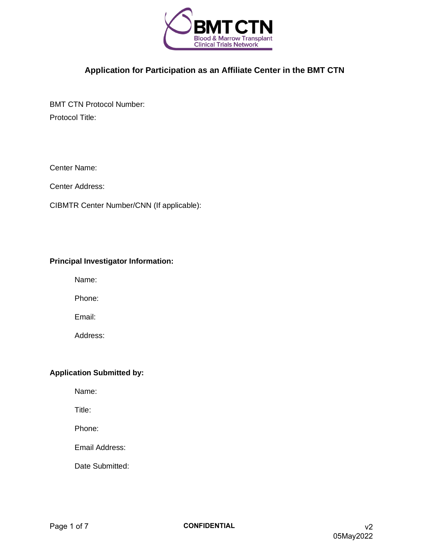

**Application for Participation as an Affiliate Center in the BMT CTN**

BMT CTN Protocol Number: Protocol Title:

Center Name:

Center Address:

CIBMTR Center Number/CNN (If applicable):

### **Principal Investigator Information:**

Name:

Phone:

Email:

Address:

## **Application Submitted by:**

Name:

Title:

Phone:

Email Address:

Date Submitted: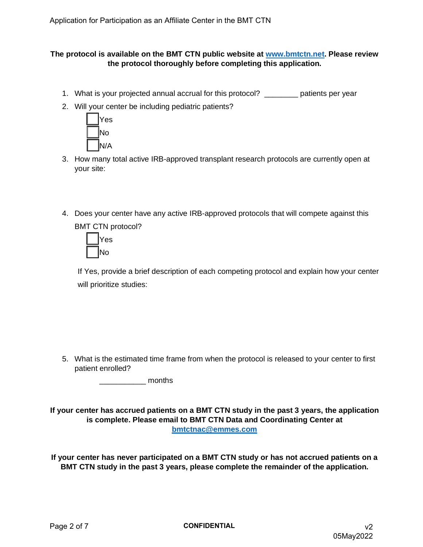### **The protocol is available on the BMT CTN public website at [www.bmtctn.net.](http://www.bmtctn.net/) Please review the protocol thoroughly before completing this application.**

- 1. What is your projected annual accrual for this protocol? \_\_\_\_\_\_\_\_ patients per year
- 2. Will your center be including pediatric patients?



- 3. How many total active IRB-approved transplant research protocols are currently open at your site:
- 4. Does your center have any active IRB-approved protocols that will compete against this BMT CTN protocol?



If Yes, provide a brief description of each competing protocol and explain how your center will prioritize studies:

5. What is the estimated time frame from when the protocol is released to your center to first patient enrolled?

 $\blacksquare$  months

**If your center has accrued patients on a BMT CTN study in the past 3 years, the application is complete. Please email to BMT CTN Data and Coordinating Center at [bmtctnac@emmes.com](mailto:bmtctnac@emmes.com)**

**If your center has never participated on a BMT CTN study or has not accrued patients on a BMT CTN study in the past 3 years, please complete the remainder of the application.**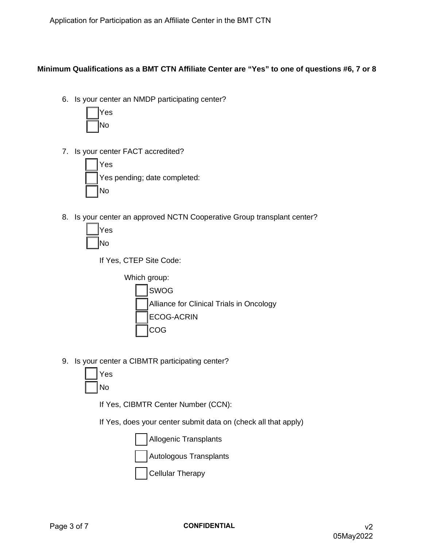# **Minimum Qualifications as a BMT CTN Affiliate Center are "Yes" to one of questions #6, 7 or 8**

6. Is your center an NMDP participating center?



7. Is your center FACT accredited?



8. Is your center an approved NCTN Cooperative Group transplant center?



If Yes, CTEP Site Code:



9. Is your center a CIBMTR participating center?



If Yes, CIBMTR Center Number (CCN):

If Yes, does your center submit data on (check all that apply)

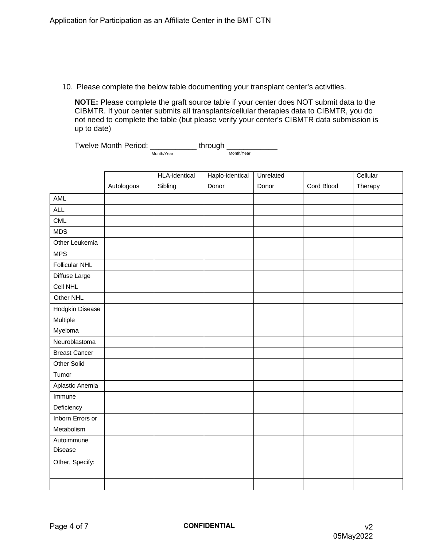10. Please complete the below table documenting your transplant center's activities.

**NOTE:** Please complete the graft source table if your center does NOT submit data to the CIBMTR. If your center submits all transplants/cellular therapies data to CIBMTR, you do not need to complete the table (but please verify your center's CIBMTR data submission is up to date)

Month/Year Twelve Month Period: \_\_\_\_\_\_\_\_\_\_\_\_\_ through \_ Month/Year

|                      |            | <b>HLA-identical</b> | Haplo-identical | Unrelated |            | Cellular |
|----------------------|------------|----------------------|-----------------|-----------|------------|----------|
|                      | Autologous | Sibling              | Donor           | Donor     | Cord Blood | Therapy  |
| <b>AML</b>           |            |                      |                 |           |            |          |
| <b>ALL</b>           |            |                      |                 |           |            |          |
| <b>CML</b>           |            |                      |                 |           |            |          |
| <b>MDS</b>           |            |                      |                 |           |            |          |
| Other Leukemia       |            |                      |                 |           |            |          |
| <b>MPS</b>           |            |                      |                 |           |            |          |
| Follicular NHL       |            |                      |                 |           |            |          |
| Diffuse Large        |            |                      |                 |           |            |          |
| Cell NHL             |            |                      |                 |           |            |          |
| Other NHL            |            |                      |                 |           |            |          |
| Hodgkin Disease      |            |                      |                 |           |            |          |
| Multiple             |            |                      |                 |           |            |          |
| Myeloma              |            |                      |                 |           |            |          |
| Neuroblastoma        |            |                      |                 |           |            |          |
| <b>Breast Cancer</b> |            |                      |                 |           |            |          |
| Other Solid          |            |                      |                 |           |            |          |
| Tumor                |            |                      |                 |           |            |          |
| Aplastic Anemia      |            |                      |                 |           |            |          |
| Immune               |            |                      |                 |           |            |          |
| Deficiency           |            |                      |                 |           |            |          |
| Inborn Errors or     |            |                      |                 |           |            |          |
| Metabolism           |            |                      |                 |           |            |          |
| Autoimmune           |            |                      |                 |           |            |          |
| Disease              |            |                      |                 |           |            |          |
| Other, Specify:      |            |                      |                 |           |            |          |
|                      |            |                      |                 |           |            |          |
|                      |            |                      |                 |           |            |          |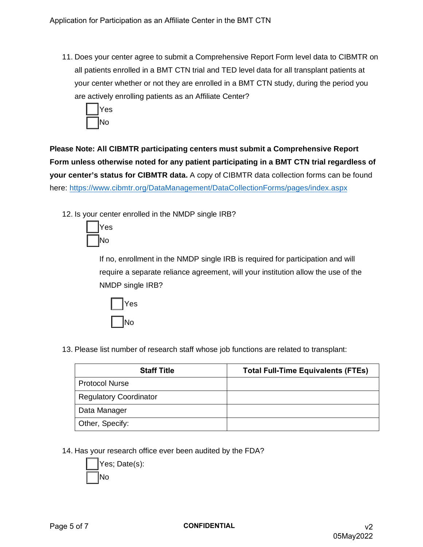11. Does your center agree to submit a Comprehensive Report Form level data to CIBMTR on all patients enrolled in a BMT CTN trial and TED level data for all transplant patients at your center whether or not they are enrolled in a BMT CTN study, during the period you are actively enrolling patients as an Affiliate Center?



**Please Note: All CIBMTR participating centers must submit a Comprehensive Report Form unless otherwise noted for any patient participating in a BMT CTN trial regardless of your center's status for CIBMTR data.** A copy of CIBMTR data collection forms can be found here: [https://www.cibmtr.org/DataManagement/DataCollectionForms/pages/inde](https://www.cibmtr.org/DataManagement/DataCollectionForms/pages/index.aspx)x.aspx

12. Is your center enrolled in the NMDP single IRB?



If no, enrollment in the NMDP single IRB is required for participation and will require a separate reliance agreement, will your institution allow the use of the NMDP single IRB?



13. Please list number of research staff whose job functions are related to transplant:

| <b>Staff Title</b>            | <b>Total Full-Time Equivalents (FTEs)</b> |
|-------------------------------|-------------------------------------------|
| <b>Protocol Nurse</b>         |                                           |
| <b>Regulatory Coordinator</b> |                                           |
| Data Manager                  |                                           |
| Other, Specify:               |                                           |

14. Has your research office ever been audited by the FDA?

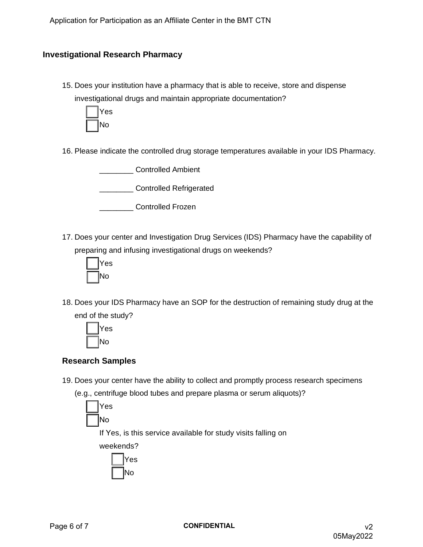## **Investigational Research Pharmacy**

15. Does your institution have a pharmacy that is able to receive, store and dispense investigational drugs and maintain appropriate documentation?



16. Please indicate the controlled drug storage temperatures available in your IDS Pharmacy.

\_\_\_\_\_\_\_\_ Controlled Ambient

\_\_\_\_\_\_\_\_ Controlled Refrigerated

\_\_\_\_\_\_\_\_ Controlled Frozen

17. Does your center and Investigation Drug Services (IDS) Pharmacy have the capability of preparing and infusing investigational drugs on weekends?



18. Does your IDS Pharmacy have an SOP for the destruction of remaining study drug at the end of the study?



# **Research Samples**

19. Does your center have the ability to collect and promptly process research specimens

(e.g., centrifuge blood tubes and prepare plasma or serum aliquots)?



If Yes, is this service available for study visits falling on